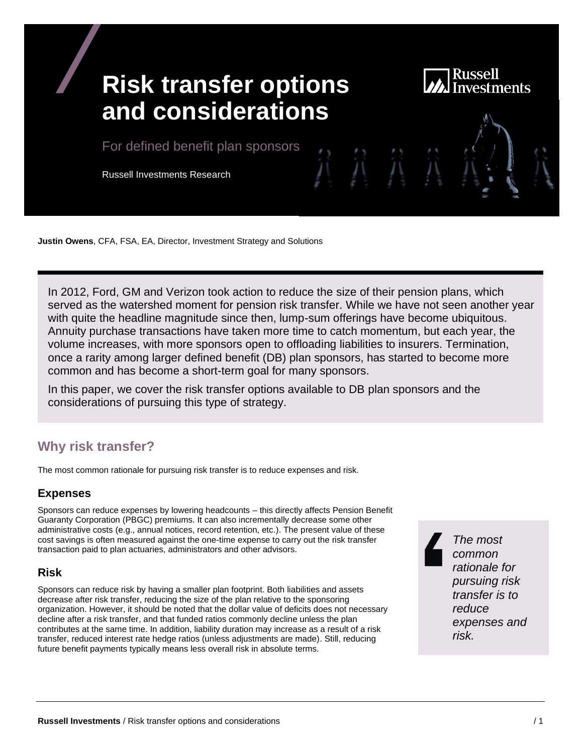# Russell **Risk transfer options and considerations** For defined benefit plan sponsors Russell Investments Research

**Justin Owens**, CFA, FSA, EA, Director, Investment Strategy and Solutions

In 2012, Ford, GM and Verizon took action to reduce the size of their pension plans, which served as the watershed moment for pension risk transfer. While we have not seen another year with quite the headline magnitude since then, lump-sum offerings have become ubiquitous. Annuity purchase transactions have taken more time to catch momentum, but each year, the volume increases, with more sponsors open to offloading liabilities to insurers. Termination, once a rarity among larger defined benefit (DB) plan sponsors, has started to become more common and has become a short-term goal for many sponsors.

In this paper, we cover the risk transfer options available to DB plan sponsors and the considerations of pursuing this type of strategy.

# **Why risk transfer?**

The most common rationale for pursuing risk transfer is to reduce expenses and risk.

#### **Expenses**

Sponsors can reduce expenses by lowering headcounts – this directly affects Pension Benefit Guaranty Corporation (PBGC) premiums. It can also incrementally decrease some other administrative costs (e.g., annual notices, record retention, etc.). The present value of these cost savings is often measured against the one-time expense to carry out the risk transfer transaction paid to plan actuaries, administrators and other advisors.

#### **Risk**

Sponsors can reduce risk by having a smaller plan footprint. Both liabilities and assets decrease after risk transfer, reducing the size of the plan relative to the sponsoring organization. However, it should be noted that the dollar value of deficits does not necessary decline after a risk transfer, and that funded ratios commonly decline unless the plan contributes at the same time. In addition, liability duration may increase as a result of a risk transfer, reduced interest rate hedge ratios (unless adjustments are made). Still, reducing future benefit payments typically means less overall risk in absolute terms.

*The most common rationale for pursuing risk transfer is to reduce expenses and risk.*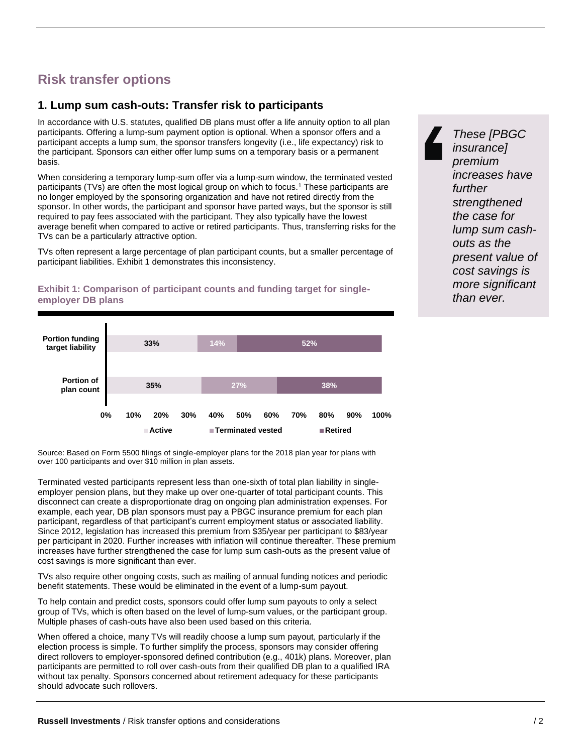# **Risk transfer options**

#### **1. Lump sum cash-outs: Transfer risk to participants**

In accordance with U.S. statutes, qualified DB plans must offer a life annuity option to all plan participants. Offering a lump-sum payment option is optional. When a sponsor offers and a participant accepts a lump sum, the sponsor transfers longevity (i.e., life expectancy) risk to the participant. Sponsors can either offer lump sums on a temporary basis or a permanent basis.

When considering a temporary lump-sum offer via a lump-sum window, the terminated vested participants (TVs) are often the most logical group on which to focus.<sup>1</sup> These participants are no longer employed by the sponsoring organization and have not retired directly from the sponsor. In other words, the participant and sponsor have parted ways, but the sponsor is still required to pay fees associated with the participant. They also typically have the lowest average benefit when compared to active or retired participants. Thus, transferring risks for the TVs can be a particularly attractive option.

TVs often represent a large percentage of plan participant counts, but a smaller percentage of participant liabilities. Exhibit 1 demonstrates this inconsistency.

#### **35% 33% 27% 14% 38% 52% 0% 10% 20% 30% 40% 50% 60% 70% 80% 90% 100% Portion of plan count Portion funding target liability** ■ Active ■ Terminated vested ■ Retired

**Exhibit 1: Comparison of participant counts and funding target for singleemployer DB plans**

Source: Based on Form 5500 filings of single-employer plans for the 2018 plan year for plans with over 100 participants and over \$10 million in plan assets.

Terminated vested participants represent less than one-sixth of total plan liability in singleemployer pension plans, but they make up over one-quarter of total participant counts. This disconnect can create a disproportionate drag on ongoing plan administration expenses. For example, each year, DB plan sponsors must pay a PBGC insurance premium for each plan participant, regardless of that participant's current employment status or associated liability. Since 2012, legislation has increased this premium from \$35/year per participant to \$83/year per participant in 2020. Further increases with inflation will continue thereafter. These premium increases have further strengthened the case for lump sum cash-outs as the present value of cost savings is more significant than ever.

TVs also require other ongoing costs, such as mailing of annual funding notices and periodic benefit statements. These would be eliminated in the event of a lump-sum payout.

To help contain and predict costs, sponsors could offer lump sum payouts to only a select group of TVs, which is often based on the level of lump-sum values, or the participant group. Multiple phases of cash-outs have also been used based on this criteria.

When offered a choice, many TVs will readily choose a lump sum payout, particularly if the election process is simple. To further simplify the process, sponsors may consider offering direct rollovers to employer-sponsored defined contribution (e.g., 401k) plans. Moreover, plan participants are permitted to roll over cash-outs from their qualified DB plan to a qualified IRA without tax penalty. Sponsors concerned about retirement adequacy for these participants should advocate such rollovers.

*These [PBGC insurance] premium increases have further strengthened the case for lump sum cashouts as the present value of cost savings is more significant than ever.*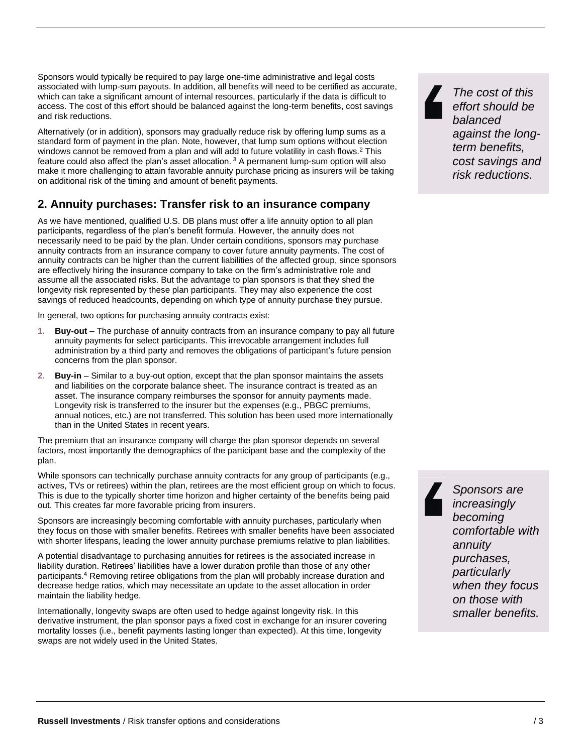Sponsors would typically be required to pay large one-time administrative and legal costs associated with lump-sum payouts. In addition, all benefits will need to be certified as accurate, which can take a significant amount of internal resources, particularly if the data is difficult to access. The cost of this effort should be balanced against the long-term benefits, cost savings and risk reductions.

Alternatively (or in addition), sponsors may gradually reduce risk by offering lump sums as a standard form of payment in the plan. Note, however, that lump sum options without election windows cannot be removed from a plan and will add to future volatility in cash flows.<sup>2</sup> This feature could also affect the plan's asset allocation. <sup>3</sup> A permanent lump-sum option will also make it more challenging to attain favorable annuity purchase pricing as insurers will be taking on additional risk of the timing and amount of benefit payments.

#### **2. Annuity purchases: Transfer risk to an insurance company**

As we have mentioned, qualified U.S. DB plans must offer a life annuity option to all plan participants, regardless of the plan's benefit formula. However, the annuity does not necessarily need to be paid by the plan. Under certain conditions, sponsors may purchase annuity contracts from an insurance company to cover future annuity payments. The cost of annuity contracts can be higher than the current liabilities of the affected group, since sponsors are effectively hiring the insurance company to take on the firm's administrative role and assume all the associated risks. But the advantage to plan sponsors is that they shed the longevity risk represented by these plan participants. They may also experience the cost savings of reduced headcounts, depending on which type of annuity purchase they pursue.

In general, two options for purchasing annuity contracts exist:

- **1. Buy-out**  The purchase of annuity contracts from an insurance company to pay all future annuity payments for select participants. This irrevocable arrangement includes full administration by a third party and removes the obligations of participant's future pension concerns from the plan sponsor.
- **2. Buy-in**  Similar to a buy-out option, except that the plan sponsor maintains the assets and liabilities on the corporate balance sheet. The insurance contract is treated as an asset. The insurance company reimburses the sponsor for annuity payments made. Longevity risk is transferred to the insurer but the expenses (e.g., PBGC premiums, annual notices, etc.) are not transferred. This solution has been used more internationally than in the United States in recent years.

The premium that an insurance company will charge the plan sponsor depends on several factors, most importantly the demographics of the participant base and the complexity of the plan.

While sponsors can technically purchase annuity contracts for any group of participants (e.g., actives, TVs or retirees) within the plan, retirees are the most efficient group on which to focus. This is due to the typically shorter time horizon and higher certainty of the benefits being paid out. This creates far more favorable pricing from insurers.

Sponsors are increasingly becoming comfortable with annuity purchases, particularly when they focus on those with smaller benefits. Retirees with smaller benefits have been associated with shorter lifespans, leading the lower annuity purchase premiums relative to plan liabilities.

A potential disadvantage to purchasing annuities for retirees is the associated increase in liability duration. Retirees' liabilities have a lower duration profile than those of any other participants.<sup>4</sup> Removing retiree obligations from the plan will probably increase duration and decrease hedge ratios, which may necessitate an update to the asset allocation in order maintain the liability hedge.

Internationally, longevity swaps are often used to hedge against longevity risk. In this derivative instrument, the plan sponsor pays a fixed cost in exchange for an insurer covering mortality losses (i.e., benefit payments lasting longer than expected). At this time, longevity swaps are not widely used in the United States.

*The cost of this effort should be balanced against the longterm benefits, cost savings and risk reductions.*

*Sponsors are increasingly becoming comfortable with annuity purchases, particularly when they focus on those with smaller benefits.*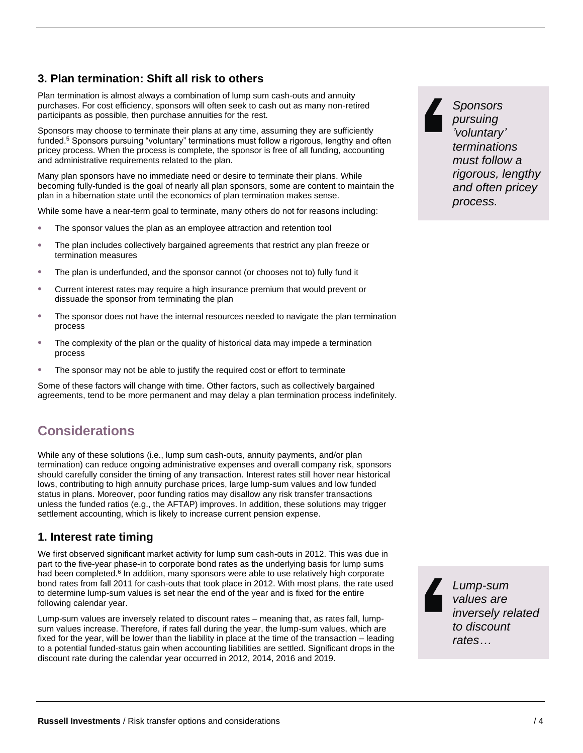## **3. Plan termination: Shift all risk to others**

Plan termination is almost always a combination of lump sum cash-outs and annuity purchases. For cost efficiency, sponsors will often seek to cash out as many non-retired participants as possible, then purchase annuities for the rest.

Sponsors may choose to terminate their plans at any time, assuming they are sufficiently funded.<sup>5</sup> Sponsors pursuing "voluntary" terminations must follow a rigorous, lengthy and often pricey process. When the process is complete, the sponsor is free of all funding, accounting and administrative requirements related to the plan.

Many plan sponsors have no immediate need or desire to terminate their plans. While becoming fully-funded is the goal of nearly all plan sponsors, some are content to maintain the plan in a hibernation state until the economics of plan termination makes sense.

While some have a near-term goal to terminate, many others do not for reasons including:

- The sponsor values the plan as an employee attraction and retention tool
- The plan includes collectively bargained agreements that restrict any plan freeze or termination measures
- The plan is underfunded, and the sponsor cannot (or chooses not to) fully fund it
- Current interest rates may require a high insurance premium that would prevent or dissuade the sponsor from terminating the plan
- The sponsor does not have the internal resources needed to navigate the plan termination process
- The complexity of the plan or the quality of historical data may impede a termination process
- The sponsor may not be able to justify the required cost or effort to terminate

Some of these factors will change with time. Other factors, such as collectively bargained agreements, tend to be more permanent and may delay a plan termination process indefinitely.

# **Considerations**

While any of these solutions (i.e., lump sum cash-outs, annuity payments, and/or plan termination) can reduce ongoing administrative expenses and overall company risk, sponsors should carefully consider the timing of any transaction. Interest rates still hover near historical lows, contributing to high annuity purchase prices, large lump-sum values and low funded status in plans. Moreover, poor funding ratios may disallow any risk transfer transactions unless the funded ratios (e.g., the AFTAP) improves. In addition, these solutions may trigger settlement accounting, which is likely to increase current pension expense.

#### **1. Interest rate timing**

We first observed significant market activity for lump sum cash-outs in 2012. This was due in part to the five-year phase-in to corporate bond rates as the underlying basis for lump sums had been completed.<sup>6</sup> In addition, many sponsors were able to use relatively high corporate bond rates from fall 2011 for cash-outs that took place in 2012. With most plans, the rate used to determine lump-sum values is set near the end of the year and is fixed for the entire following calendar year.

Lump-sum values are inversely related to discount rates – meaning that, as rates fall, lumpsum values increase. Therefore, if rates fall during the year, the lump-sum values, which are fixed for the year, will be lower than the liability in place at the time of the transaction – leading to a potential funded-status gain when accounting liabilities are settled. Significant drops in the discount rate during the calendar year occurred in 2012, 2014, 2016 and 2019.

*Sponsors pursuing 'voluntary' terminations must follow a rigorous, lengthy and often pricey process.*

*Lump-sum values are inversely related to discount rates…*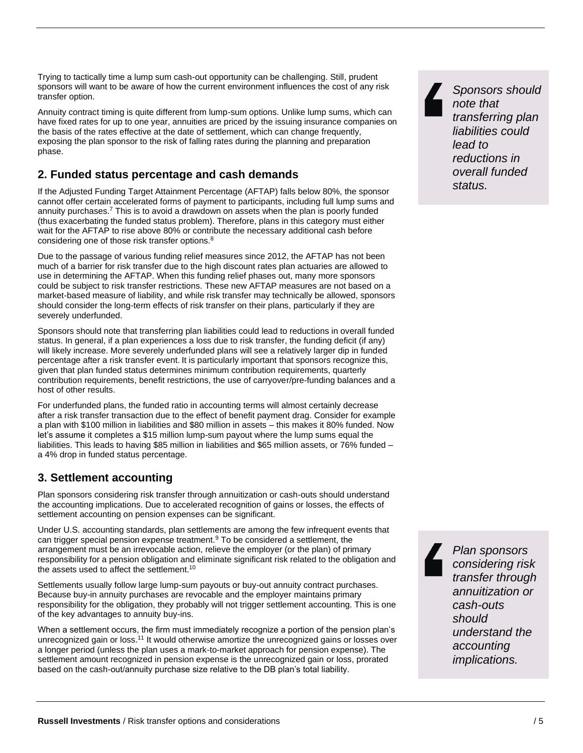Trying to tactically time a lump sum cash-out opportunity can be challenging. Still, prudent sponsors will want to be aware of how the current environment influences the cost of any risk transfer option.

Annuity contract timing is quite different from lump-sum options. Unlike lump sums, which can have fixed rates for up to one year, annuities are priced by the issuing insurance companies on the basis of the rates effective at the date of settlement, which can change frequently, exposing the plan sponsor to the risk of falling rates during the planning and preparation phase.

## **2. Funded status percentage and cash demands**

If the Adjusted Funding Target Attainment Percentage (AFTAP) falls below 80%, the sponsor cannot offer certain accelerated forms of payment to participants, including full lump sums and annuity purchases.<sup>7</sup> This is to avoid a drawdown on assets when the plan is poorly funded (thus exacerbating the funded status problem). Therefore, plans in this category must either wait for the AFTAP to rise above 80% or contribute the necessary additional cash before considering one of those risk transfer options.<sup>8</sup>

Due to the passage of various funding relief measures since 2012, the AFTAP has not been much of a barrier for risk transfer due to the high discount rates plan actuaries are allowed to use in determining the AFTAP. When this funding relief phases out, many more sponsors could be subject to risk transfer restrictions. These new AFTAP measures are not based on a market-based measure of liability, and while risk transfer may technically be allowed, sponsors should consider the long-term effects of risk transfer on their plans, particularly if they are severely underfunded.

Sponsors should note that transferring plan liabilities could lead to reductions in overall funded status. In general, if a plan experiences a loss due to risk transfer, the funding deficit (if any) will likely increase. More severely underfunded plans will see a relatively larger dip in funded percentage after a risk transfer event. It is particularly important that sponsors recognize this, given that plan funded status determines minimum contribution requirements, quarterly contribution requirements, benefit restrictions, the use of carryover/pre-funding balances and a host of other results.

For underfunded plans, the funded ratio in accounting terms will almost certainly decrease after a risk transfer transaction due to the effect of benefit payment drag. Consider for example a plan with \$100 million in liabilities and \$80 million in assets – this makes it 80% funded. Now let's assume it completes a \$15 million lump-sum payout where the lump sums equal the liabilities. This leads to having \$85 million in liabilities and \$65 million assets, or 76% funded – a 4% drop in funded status percentage.

## **3. Settlement accounting**

Plan sponsors considering risk transfer through annuitization or cash-outs should understand the accounting implications. Due to accelerated recognition of gains or losses, the effects of settlement accounting on pension expenses can be significant.

Under U.S. accounting standards, plan settlements are among the few infrequent events that can trigger special pension expense treatment. $9$  To be considered a settlement, the arrangement must be an irrevocable action, relieve the employer (or the plan) of primary responsibility for a pension obligation and eliminate significant risk related to the obligation and the assets used to affect the settlement.<sup>10</sup>

Settlements usually follow large lump-sum payouts or buy-out annuity contract purchases. Because buy-in annuity purchases are revocable and the employer maintains primary responsibility for the obligation, they probably will not trigger settlement accounting. This is one of the key advantages to annuity buy-ins.

When a settlement occurs, the firm must immediately recognize a portion of the pension plan's unrecognized gain or loss.<sup>11</sup> It would otherwise amortize the unrecognized gains or losses over a longer period (unless the plan uses a mark-to-market approach for pension expense). The settlement amount recognized in pension expense is the unrecognized gain or loss, prorated based on the cash-out/annuity purchase size relative to the DB plan's total liability.

*Sponsors should note that transferring plan liabilities could lead to reductions in overall funded status.*

*Plan sponsors considering risk transfer through annuitization or cash-outs should understand the accounting implications.*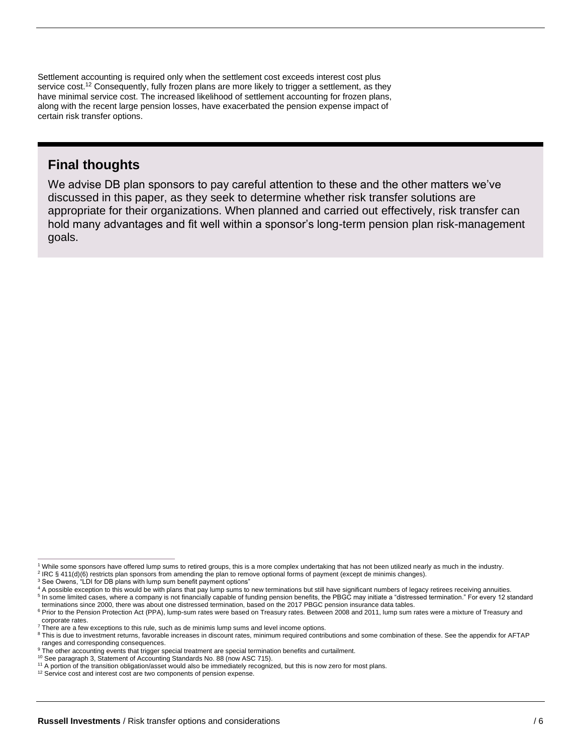Settlement accounting is required only when the settlement cost exceeds interest cost plus service cost.<sup>12</sup> Consequently, fully frozen plans are more likely to trigger a settlement, as they have minimal service cost. The increased likelihood of settlement accounting for frozen plans, along with the recent large pension losses, have exacerbated the pension expense impact of certain risk transfer options.

## **Final thoughts**

We advise DB plan sponsors to pay careful attention to these and the other matters we've discussed in this paper, as they seek to determine whether risk transfer solutions are appropriate for their organizations. When planned and carried out effectively, risk transfer can hold many advantages and fit well within a sponsor's long-term pension plan risk-management goals.

<sup>1</sup> While some sponsors have offered lump sums to retired groups, this is a more complex undertaking that has not been utilized nearly as much in the industry.

<sup>2</sup> IRC § 411(d)(6) restricts plan sponsors from amending the plan to remove optional forms of payment (except de minimis changes).

<sup>&</sup>lt;sup>3</sup> See Owens, "LDI for DB plans with lump sum benefit payment options"

<sup>4</sup> A possible exception to this would be with plans that pay lump sums to new terminations but still have significant numbers of legacy retirees receiving annuities.

<sup>&</sup>lt;sup>5</sup> In some limited cases, where a company is not financially capable of funding pension benefits, the PBGC may initiate a "distressed termination." For every 12 standard terminations since 2000, there was about one distressed termination, based on the 2017 PBGC pension insurance data tables.

<sup>&</sup>lt;sup>6</sup> Prior to the Pension Protection Act (PPA), lump-sum rates were based on Treasury rates. Between 2008 and 2011, lump sum rates were a mixture of Treasury and corporate rates.

<sup>7</sup> There are a few exceptions to this rule, such as de minimis lump sums and level income options. <sup>8</sup> This is due to investment returns, favorable increases in discount rates, minimum required contributions and some combination of these. See the appendix for AFTAP

ranges and corresponding consequences.

<sup>&</sup>lt;sup>9</sup> The other accounting events that trigger special treatment are special termination benefits and curtailment.

<sup>10</sup> See paragraph 3, Statement of Accounting Standards No. 88 (now ASC 715).

<sup>11</sup> A portion of the transition obligation/asset would also be immediately recognized, but this is now zero for most plans.

<sup>&</sup>lt;sup>12</sup> Service cost and interest cost are two components of pension expense.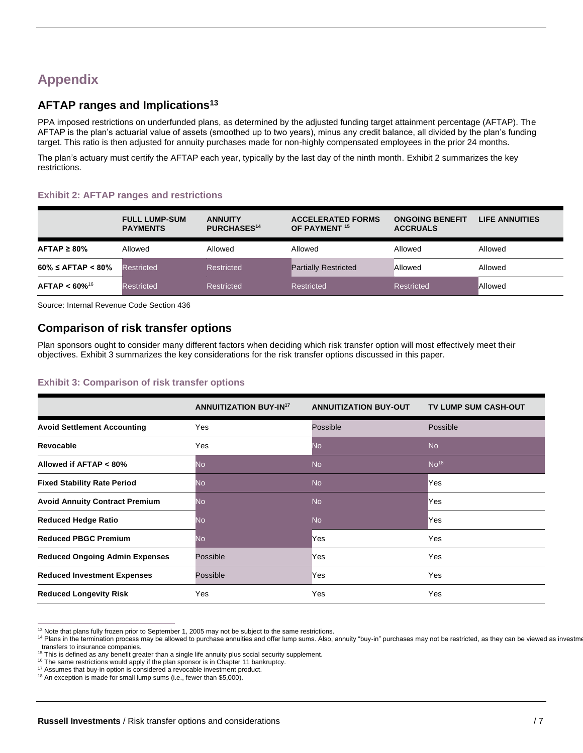# **Appendix**

#### **AFTAP ranges and Implications<sup>13</sup>**

PPA imposed restrictions on underfunded plans, as determined by the adjusted funding target attainment percentage (AFTAP). The AFTAP is the plan's actuarial value of assets (smoothed up to two years), minus any credit balance, all divided by the plan's funding target. This ratio is then adjusted for annuity purchases made for non-highly compensated employees in the prior 24 months.

The plan's actuary must certify the AFTAP each year, typically by the last day of the ninth month. Exhibit 2 summarizes the key restrictions.

#### **Exhibit 2: AFTAP ranges and restrictions**

|                         | <b>FULL LUMP-SUM</b><br><b>PAYMENTS</b> | <b>ANNUITY</b><br><b>PURCHASES<sup>14</sup></b> | <b>ACCELERATED FORMS</b><br>OF PAYMENT <sup>15</sup> | <b>ONGOING BENEFIT</b><br><b>ACCRUALS</b> | LIFE ANNUITIES |
|-------------------------|-----------------------------------------|-------------------------------------------------|------------------------------------------------------|-------------------------------------------|----------------|
| $AFTAP \geq 80\%$       | Allowed                                 | Allowed                                         | Allowed                                              | Allowed                                   | Allowed        |
| $60\% \leq$ AFTAP < 80% | <b>Restricted</b>                       | Restricted                                      | <b>Partially Restricted</b>                          | Allowed                                   | Allowed        |
| $AFTAP < 60\%^{16}$     | Restricted                              | Restricted                                      | Restricted                                           | <b>Restricted</b>                         | Allowed        |

Source: Internal Revenue Code Section 436

#### **Comparison of risk transfer options**

Plan sponsors ought to consider many different factors when deciding which risk transfer option will most effectively meet their objectives. Exhibit 3 summarizes the key considerations for the risk transfer options discussed in this paper.

#### **Exhibit 3: Comparison of risk transfer options**

|                                       | <b>ANNUITIZATION BUY-IN17</b> | <b>ANNUITIZATION BUY-OUT</b> | TV LUMP SUM CASH-OUT |
|---------------------------------------|-------------------------------|------------------------------|----------------------|
| <b>Avoid Settlement Accounting</b>    | Yes                           | Possible                     | Possible             |
| Revocable                             | Yes                           | <b>No</b>                    | <b>No</b>            |
| Allowed if AFTAP < 80%                | No.                           | <b>No</b>                    | No <sup>18</sup>     |
| <b>Fixed Stability Rate Period</b>    | No                            | <b>No</b>                    | Yes                  |
| <b>Avoid Annuity Contract Premium</b> | No                            | <b>No</b>                    | Yes                  |
| <b>Reduced Hedge Ratio</b>            | No                            | <b>No</b>                    | Yes                  |
| <b>Reduced PBGC Premium</b>           | No                            | Yes                          | Yes                  |
| <b>Reduced Ongoing Admin Expenses</b> | Possible                      | Yes                          | Yes                  |
| <b>Reduced Investment Expenses</b>    | Possible                      | Yes                          | Yes                  |
| <b>Reduced Longevity Risk</b>         | Yes                           | Yes                          | Yes                  |

<sup>13</sup> Note that plans fully frozen prior to September 1, 2005 may not be subject to the same restrictions.

<sup>14</sup> Plans in the termination process may be allowed to purchase annuities and offer lump sums. Also, annuity "buy-in" purchases may not be restricted, as they can be viewed as investment to than interval as than investment transfers to insurance companies.

<sup>&</sup>lt;sup>15</sup> This is defined as any benefit greater than a single life annuity plus social security supplement.

<sup>&</sup>lt;sup>16</sup> The same restrictions would apply if the plan sponsor is in Chapter 11 bankruptcy.

<sup>&</sup>lt;sup>17</sup> Assumes that buy-in option is considered a revocable investment product.

<sup>18</sup> An exception is made for small lump sums (i.e., fewer than \$5,000).